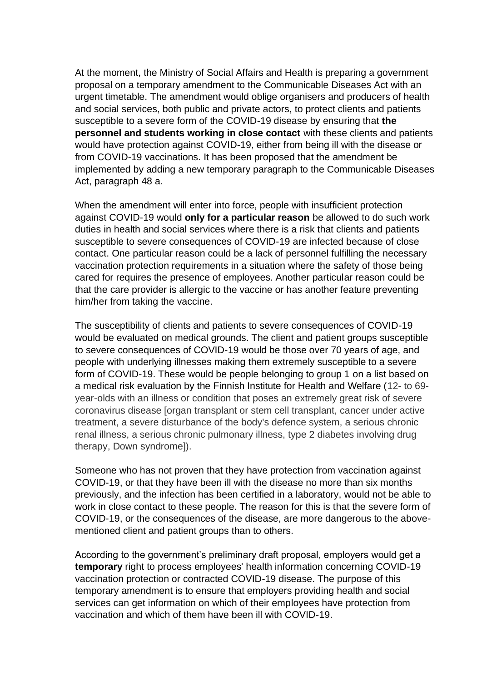At the moment, the Ministry of Social Affairs and Health is preparing a government proposal on a temporary amendment to the Communicable Diseases Act with an urgent timetable. The amendment would oblige organisers and producers of health and social services, both public and private actors, to protect clients and patients susceptible to a severe form of the COVID-19 disease by ensuring that **the personnel and students working in close contact** with these clients and patients would have protection against COVID-19, either from being ill with the disease or from COVID-19 vaccinations. It has been proposed that the amendment be implemented by adding a new temporary paragraph to the Communicable Diseases Act, paragraph 48 a.

When the amendment will enter into force, people with insufficient protection against COVID-19 would **only for a particular reason** be allowed to do such work duties in health and social services where there is a risk that clients and patients susceptible to severe consequences of COVID-19 are infected because of close contact. One particular reason could be a lack of personnel fulfilling the necessary vaccination protection requirements in a situation where the safety of those being cared for requires the presence of employees. Another particular reason could be that the care provider is allergic to the vaccine or has another feature preventing him/her from taking the vaccine.

The susceptibility of clients and patients to severe consequences of COVID-19 would be evaluated on medical grounds. The client and patient groups susceptible to severe consequences of COVID-19 would be those over 70 years of age, and people with underlying illnesses making them extremely susceptible to a severe form of COVID-19. These would be people belonging to group 1 on a list based on a medical risk evaluation by the Finnish Institute for Health and Welfare (12- to 69 year-olds with an illness or condition that poses an extremely great risk of severe coronavirus disease [organ transplant or stem cell transplant, cancer under active treatment, a severe disturbance of the body's defence system, a serious chronic renal illness, a serious chronic pulmonary illness, type 2 diabetes involving drug therapy, Down syndrome]).

Someone who has not proven that they have protection from vaccination against COVID-19, or that they have been ill with the disease no more than six months previously, and the infection has been certified in a laboratory, would not be able to work in close contact to these people. The reason for this is that the severe form of COVID-19, or the consequences of the disease, are more dangerous to the abovementioned client and patient groups than to others.

According to the government's preliminary draft proposal, employers would get a **temporary** right to process employees' health information concerning COVID-19 vaccination protection or contracted COVID-19 disease. The purpose of this temporary amendment is to ensure that employers providing health and social services can get information on which of their employees have protection from vaccination and which of them have been ill with COVID-19.